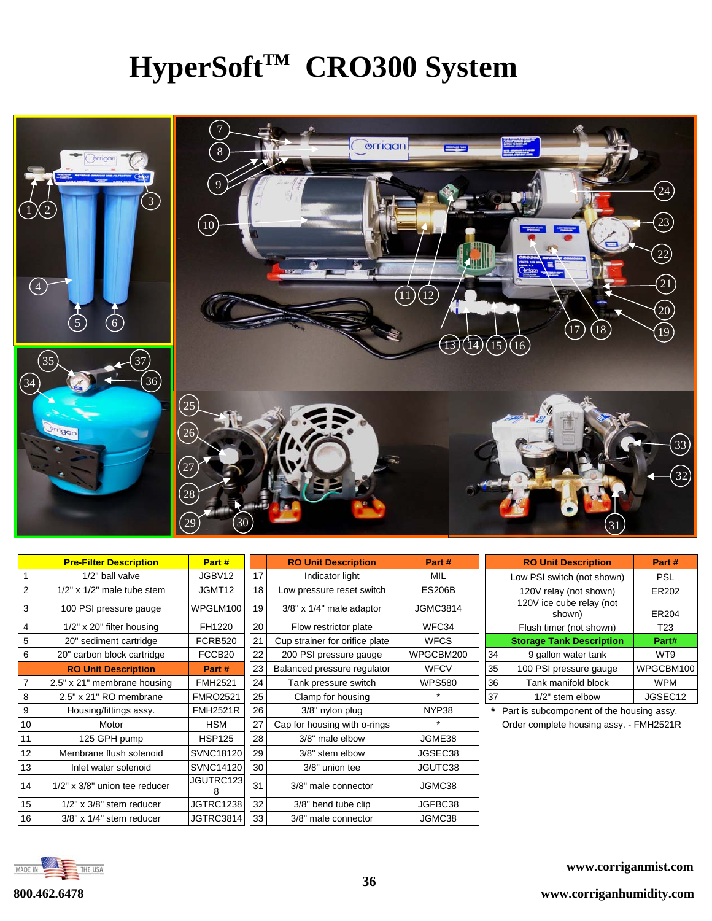## **HyperSoft™ CRO300 System**



|    | <b>Pre-Filter Description</b>       | Part #           |    | <b>RO Unit Description</b>     | Part #          |    | <b>RO Unit Description</b>                | Part #          |
|----|-------------------------------------|------------------|----|--------------------------------|-----------------|----|-------------------------------------------|-----------------|
|    | 1/2" ball valve                     | JGBV12           | 17 | Indicator light                | MIL             |    | Low PSI switch (not shown)                | <b>PSL</b>      |
| 2  | $1/2$ " x $1/2$ " male tube stem    | JGMT12           | 18 | Low pressure reset switch      | <b>ES206B</b>   |    | 120V relay (not shown)                    | ER202           |
| 3  | 100 PSI pressure gauge              | WPGLM100         | 19 | $3/8"$ x $1/4"$ male adaptor   | <b>JGMC3814</b> |    | 120V ice cube relay (not<br>shown)        | ER204           |
| 4  | $1/2"$ x 20" filter housing         | FH1220           | 20 | Flow restrictor plate          | WFC34           |    | Flush timer (not shown)                   | T <sub>23</sub> |
| 5  | 20" sediment cartridge              | <b>FCRB520</b>   | 21 | Cup strainer for orifice plate | <b>WFCS</b>     |    | <b>Storage Tank Description</b>           | Part#           |
| 6  | 20" carbon block cartridge          | FCCB20           | 22 | 200 PSI pressure gauge         | WPGCBM200       | 34 | 9 gallon water tank                       | WT9             |
|    | <b>RO Unit Description</b>          | Part #           | 23 | Balanced pressure regulator    | <b>WFCV</b>     | 35 | 100 PSI pressure gauge                    | WPGCBM100       |
|    | 2.5" x 21" membrane housing         | <b>FMH2521</b>   | 24 | Tank pressure switch           | <b>WPS580</b>   | 36 | Tank manifold block                       | <b>WPM</b>      |
| 8  | 2.5" x 21" RO membrane              | <b>FMRO2521</b>  | 25 | Clamp for housing              | $\star$         | 37 | 1/2" stem elbow                           | JGSEC12         |
| 9  | Housing/fittings assy.              | <b>FMH2521R</b>  | 26 | 3/8" nylon plug                | NYP38           |    | Part is subcomponent of the housing assy. |                 |
| 10 | Motor                               | <b>HSM</b>       | 27 | Cap for housing with o-rings   | $\star$         |    | Order complete housing assy. - FMH2521R   |                 |
| 11 | 125 GPH pump                        | <b>HSP125</b>    | 28 | 3/8" male elbow                | JGME38          |    |                                           |                 |
| 12 | Membrane flush solenoid             | <b>SVNC18120</b> | 29 | 3/8" stem elbow                | JGSEC38         |    |                                           |                 |
| 13 | Inlet water solenoid                | <b>SVNC14120</b> | 30 | 3/8" union tee                 | JGUTC38         |    |                                           |                 |
| 14 | $1/2$ " x $3/8$ " union tee reducer | JGUTRC123<br>8   | 31 | 3/8" male connector            | JGMC38          |    |                                           |                 |
| 15 | $1/2"$ x $3/8"$ stem reducer        | <b>JGTRC1238</b> | 32 | 3/8" bend tube clip            | JGFBC38         |    |                                           |                 |
| 16 | $3/8"$ x $1/4"$ stem reducer        | JGTRC3814        | 33 | 3/8" male connector            | JGMC38          |    |                                           |                 |

|    | <b>RO Unit Description</b>         | Part#           |
|----|------------------------------------|-----------------|
|    | Low PSI switch (not shown)         | <b>PSL</b>      |
|    | 120V relay (not shown)             | ER202           |
|    | 120V ice cube relay (not<br>shown) | ER204           |
|    | Flush timer (not shown)            | T <sub>23</sub> |
|    | <b>Storage Tank Description</b>    | Part#           |
| 34 | 9 gallon water tank                | WT9             |
| 35 | 100 PSI pressure gauge             | WPGCBM100       |
| 36 | Tank manifold block                | <b>WPM</b>      |
| 37 | 1/2" stem elbow                    | JGSEC12         |

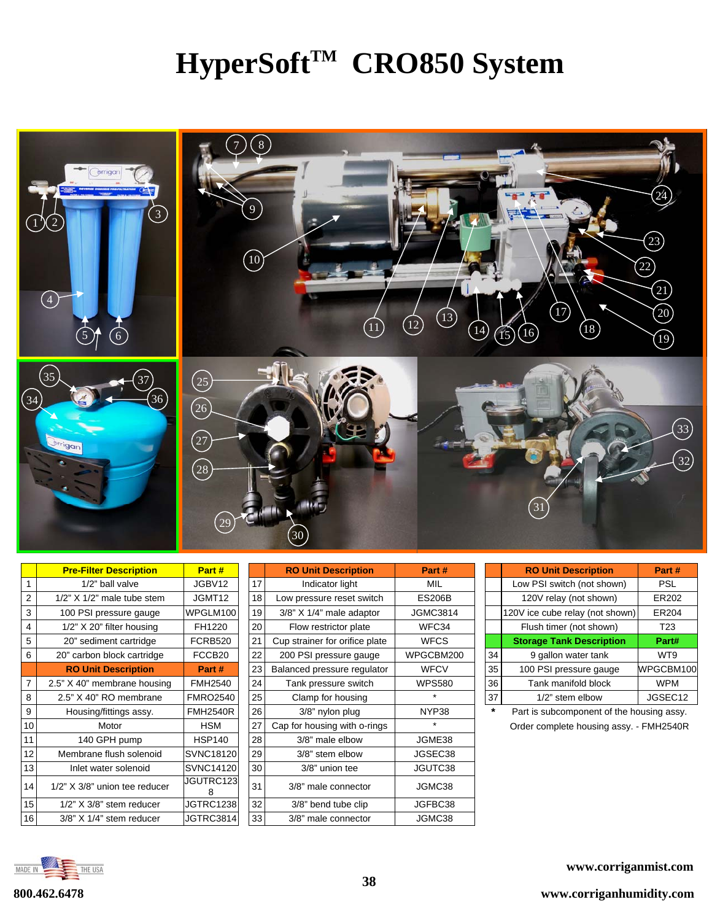## HyperSoft<sup>™</sup> CRO850 System



|    | <b>Pre-Filter Description</b>    | Part #             |    | <b>RO Unit Description</b>     | Part #          |
|----|----------------------------------|--------------------|----|--------------------------------|-----------------|
| 1  | 1/2" ball valve                  | JGBV12             | 17 | Indicator light                | <b>MIL</b>      |
| 2  | $1/2$ " X $1/2$ " male tube stem | JGMT12             | 18 | Low pressure reset switch      | <b>ES206B</b>   |
| 3  | 100 PSI pressure gauge           | WPGLM100           | 19 | 3/8" X 1/4" male adaptor       | <b>JGMC3814</b> |
| 4  | 1/2" X 20" filter housing        | FH1220             | 20 | Flow restrictor plate          | WFC34           |
| 5  | 20" sediment cartridge           | <b>FCRB520</b>     | 21 | Cup strainer for orifice plate | <b>WFCS</b>     |
| 6  | 20" carbon block cartridge       | FCCB <sub>20</sub> | 22 | 200 PSI pressure gauge         | WPGCBM20        |
|    | <b>RO Unit Description</b>       | Part #             | 23 | Balanced pressure regulator    | <b>WFCV</b>     |
| 7  | 2.5" X 40" membrane housing      | <b>FMH2540</b>     | 24 | Tank pressure switch           | <b>WPS580</b>   |
| 8  | 2.5" X 40" RO membrane           | <b>FMRO2540</b>    | 25 | Clamp for housing              |                 |
| 9  | Housing/fittings assy.           | <b>FMH2540R</b>    | 26 | 3/8" nylon plug                | NYP38           |
| 10 | Motor                            | <b>HSM</b>         | 27 | Cap for housing with o-rings   | ÷               |
| 11 | 140 GPH pump                     | <b>HSP140</b>      | 28 | 3/8" male elbow                | JGME38          |
| 12 | Membrane flush solenoid          | <b>SVNC18120</b>   | 29 | 3/8" stem elbow                | JGSEC38         |
| 13 | Inlet water solenoid             | <b>SVNC14120</b>   | 30 | 3/8" union tee                 | JGUTC38         |
| 14 | 1/2" X 3/8" union tee reducer    | JGUTRC123<br>8     | 31 | 3/8" male connector            | JGMC38          |
| 15 | $1/2$ " $X$ 3/8" stem reducer    | <b>JGTRC1238</b>   | 32 | 3/8" bend tube clip            | JGFBC38         |
| 16 | $3/8$ " X $1/4$ " stem reducer   | JGTRC3814          | 33 | 3/8" male connector            | JGMC38          |

|   | <b>Pre-Filter Description</b>      | Part#              |    | <b>RO Unit Description</b>     | Part #        |    | <b>RO Unit Description</b>                | Part #          |
|---|------------------------------------|--------------------|----|--------------------------------|---------------|----|-------------------------------------------|-----------------|
|   | 1/2" ball valve                    | JGBV12             | 17 | Indicator light                | MIL           |    | Low PSI switch (not shown)                | <b>PSL</b>      |
|   | $1/2$ " X $1/2$ " male tube stem   | JGMT12             | 18 | Low pressure reset switch      | <b>ES206B</b> |    | 120V relay (not shown)                    | ER202           |
|   | 100 PSI pressure gauge             | WPGLM100           | 19 | $3/8$ " X $1/4$ " male adaptor | JGMC3814      |    | 120V ice cube relay (not shown)           | <b>ER204</b>    |
|   | 1/2" X 20" filter housing          | FH1220             | 20 | Flow restrictor plate          | WFC34         |    | Flush timer (not shown)                   | T <sub>23</sub> |
|   | 20" sediment cartridge             | <b>FCRB520</b>     | 21 | Cup strainer for orifice plate | <b>WFCS</b>   |    | <b>Storage Tank Description</b>           | Part#           |
|   | 20" carbon block cartridge         | FCCB <sub>20</sub> | 22 | 200 PSI pressure gauge         | WPGCBM200     | 34 | 9 gallon water tank                       | WT9             |
|   | <b>RO Unit Description</b>         | Part #             | 23 | Balanced pressure regulator    | <b>WFCV</b>   | 35 | 100 PSI pressure gauge                    | WPGCBM100       |
|   | 2.5" X 40" membrane housing        | <b>FMH2540</b>     | 24 | Tank pressure switch           | <b>WPS580</b> | 36 | Tank manifold block                       | <b>WPM</b>      |
| 8 | 2.5" X 40" RO membrane             | <b>FMRO2540</b>    | 25 | Clamp for housing              |               | 37 | 1/2" stem elbow                           | JGSEC12         |
| 9 | Housing/fittings assy.             | <b>FMH2540R</b>    | 26 | 3/8" nylon plug                | NYP38         |    | Part is subcomponent of the housing assy. |                 |
|   | Motor                              | HSM                | 27 | Cap for housing with o-rings   |               |    | Order complete housing assy. - FMH2540R   |                 |
|   | 140 GPH pump                       | <b>HSP140</b>      | 28 | 3/8" male elbow                | JGME38        |    |                                           |                 |
|   | Membrane flush solenoid            | <b>SVNC18120</b>   | 29 | 3/8" stem elbow                | JGSEC38       |    |                                           |                 |
| 3 | Inlet water solenoid               | <b>SVNC14120</b>   | 30 | 3/8" union tee                 | JGUTC38       |    |                                           |                 |
| 4 | 1/2" X 3/8" union tee reducer      | JGUTRC123<br>8     | 31 | 3/8" male connector            | JGMC38        |    |                                           |                 |
| 5 | $1/2$ " $\times$ 3/8" stem reducer | <b>JGTRC1238</b>   | 32 | 3/8" bend tube clip            | JGFBC38       |    |                                           |                 |
| 6 | 3/8" X 1/4" stem reducer           | JGTRC3814          | 33 | 3/8" male connector            | JGMC38        |    |                                           |                 |

|    | <b>RO Unit Description</b>      | Part#           |
|----|---------------------------------|-----------------|
|    | Low PSI switch (not shown)      | <b>PSL</b>      |
|    | 120V relay (not shown)          | ER202           |
|    | 120V ice cube relay (not shown) | ER204           |
|    | Flush timer (not shown)         | T <sub>23</sub> |
|    | <b>Storage Tank Description</b> | Part#           |
| 34 | 9 gallon water tank             | WT9             |
| 35 | 100 PSI pressure gauge          | WPGCBM100       |
| 36 | Tank manifold block             | <b>WPM</b>      |
| 37 | 1/2" stem elbow                 | JGSEC12         |

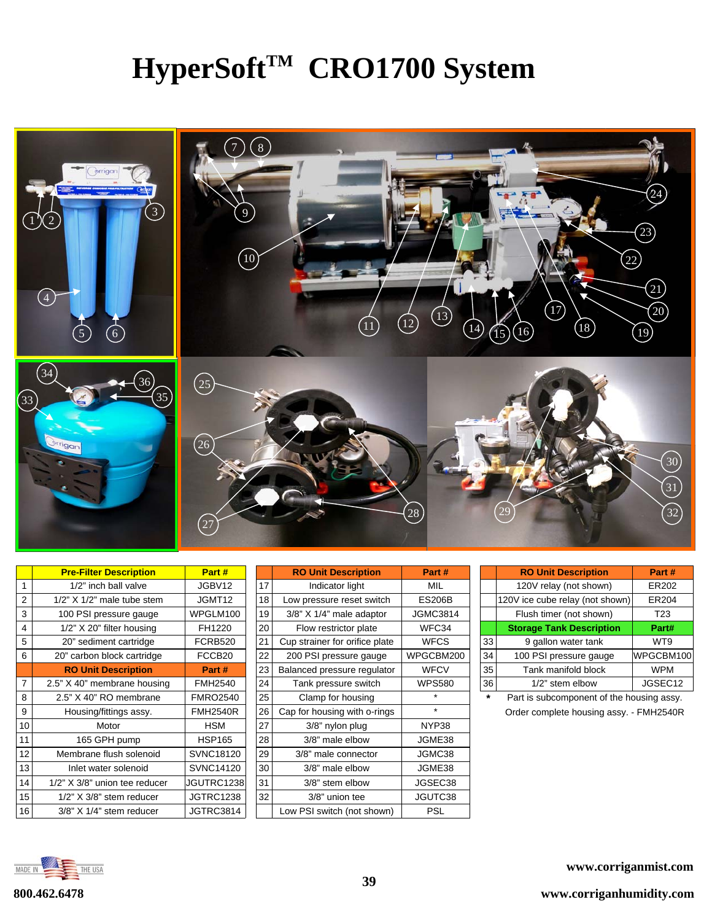## **HyperSoft™ CRO1700 System**



|                 | <b>Pre-Filter Description</b>         | Part #             |    | <b>RO Unit Description</b>     | Part #          |         | <b>RO Unit Description</b>                | Part #     |
|-----------------|---------------------------------------|--------------------|----|--------------------------------|-----------------|---------|-------------------------------------------|------------|
|                 | 1/2" inch ball valve                  | JGBV12             | 17 | Indicator light                | MIL             |         | 120V relay (not shown)                    | ER202      |
| 2               | $1/2$ " X $1/2$ " male tube stem      | JGMT12             | 18 | Low pressure reset switch      | <b>ES206B</b>   |         | 120V ice cube relay (not shown)           | ER204      |
| 3               | 100 PSI pressure gauge                | WPGLM100           | 19 | 3/8" X 1/4" male adaptor       | <b>JGMC3814</b> |         | Flush timer (not shown)                   | T23        |
| 4               | 1/2" X 20" filter housing             | FH1220             | 20 | Flow restrictor plate          | WFC34           |         | <b>Storage Tank Description</b>           | Part#      |
| 5               | 20" sediment cartridge                | <b>FCRB520</b>     | 21 | Cup strainer for orifice plate | <b>WFCS</b>     | 33      | 9 gallon water tank                       | WT9        |
| 6               | 20" carbon block cartridge            | FCCB <sub>20</sub> | 22 | 200 PSI pressure gauge         | WPGCBM200       | 34      | 100 PSI pressure gauge                    | WPGCBM100  |
|                 | <b>RO Unit Description</b>            | Part #             | 23 | Balanced pressure regulator    | <b>WFCV</b>     | 35      | Tank manifold block                       | <b>WPM</b> |
| $\overline{7}$  | 2.5" X 40" membrane housing           | <b>FMH2540</b>     | 24 | Tank pressure switch           | <b>WPS580</b>   | 36      | 1/2" stem elbow                           | JGSEC12    |
| 8               | 2.5" X 40" RO membrane                | <b>FMRO2540</b>    | 25 | Clamp for housing              | $\star$         | $\star$ | Part is subcomponent of the housing assy. |            |
| 9               | Housing/fittings assy.                | <b>FMH2540R</b>    | 26 | Cap for housing with o-rings   | $\star$         |         | Order complete housing assy. - FMH2540R   |            |
| 10              | Motor                                 | HSM                | 27 | 3/8" nylon plug                | NYP38           |         |                                           |            |
| 11              | 165 GPH pump                          | <b>HSP165</b>      | 28 | 3/8" male elbow                | JGME38          |         |                                           |            |
| 12              | Membrane flush solenoid               | SVNC18120          | 29 | 3/8" male connector            | JGMC38          |         |                                           |            |
| 13              | Inlet water solenoid                  | <b>SVNC14120</b>   | 30 | 3/8" male elbow                | JGME38          |         |                                           |            |
| 14              | 1/2" X 3/8" union tee reducer         | JGUTRC1238         | 31 | 3/8" stem elbow                | JGSEC38         |         |                                           |            |
| 15              | $1/2$ " $\times$ $3/8$ " stem reducer | JGTRC1238          | 32 | 3/8" union tee                 | JGUTC38         |         |                                           |            |
| 16 <sup>1</sup> | 3/8" X 1/4" stem reducer              | JGTRC3814          |    | Low PSI switch (not shown)     | <b>PSL</b>      |         |                                           |            |

|    | <b>RO Unit Description</b>     | Part #          |
|----|--------------------------------|-----------------|
| 17 | Indicator light                | MIL             |
| 18 | Low pressure reset switch      | <b>ES206B</b>   |
| 19 | $3/8$ " X $1/4$ " male adaptor | <b>JGMC3814</b> |
| 20 | Flow restrictor plate          | WFC34           |
| 21 | Cup strainer for orifice plate | <b>WFCS</b>     |
| 22 | 200 PSI pressure gauge         | WPGCBM200       |
| 23 | Balanced pressure regulator    | WFCV            |
| 24 | Tank pressure switch           | <b>WPS580</b>   |
| 25 | Clamp for housing              | $\star$         |
| 26 | Cap for housing with o-rings   | ÷               |
| 27 | 3/8" nylon plug                | NYP38           |
| 28 | 3/8" male elbow                | JGME38          |
| 29 | 3/8" male connector            | JGMC38          |
| 30 | 3/8" male elbow                | JGME38          |
| 31 | 3/8" stem elbow                | JGSEC38         |
| 32 | 3/8" union tee                 | JGUTC38         |
|    | Low PSI switch (not shown)     | PSL             |

|    | <b>RO Unit Description</b>      | Part#           |
|----|---------------------------------|-----------------|
|    | 120V relay (not shown)          | ER202           |
|    | 120V ice cube relay (not shown) | ER204           |
|    | Flush timer (not shown)         | T <sub>23</sub> |
|    | <b>Storage Tank Description</b> | Part#           |
| 33 | 9 gallon water tank             | WT9             |
| 34 | 100 PSI pressure gauge          | WPGCBM100       |
| 35 | Tank manifold block             | <b>WPM</b>      |
| 36 | 1/2" stem elbow                 | JGSEC12         |